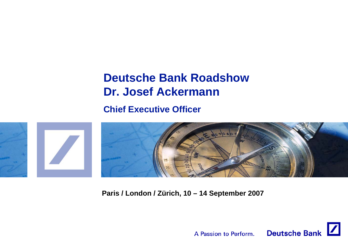# **Deutsche Bank RoadshowDr. Josef Ackermann**

**Chief Executive Officer**



**Paris / London / Zürich, 10 – 14 September 2007**

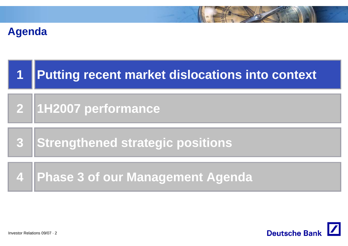## **Agenda**

| $\blacksquare$ | <b>Putting recent market dislocations into context</b> |
|----------------|--------------------------------------------------------|
|                | 2 1H2007 performance                                   |
| $\overline{3}$ | Strengthened strategic positions                       |
|                | 4   Phase 3 of our Management Agenda                   |

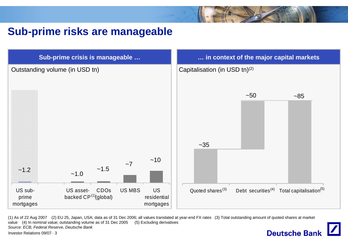## **Sub-prime risks are manageable**



(1) As of 22 Aug 2007 (2) EU 25, Japan, USA; data as of 31 Dec 2006; all values translated at year-end FX rates (3) Total outstanding amount of quoted shares at market value (4) In nominal value; outstanding volume as of 31 Dec 2005 (5) Excluding derivatives *Source: ECB, Federal Reserve, Deutsche Bank* **Deutsche Bank**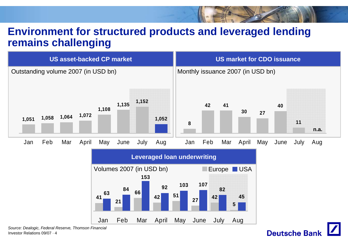## **Environment for structured products and leveraged lending remains challenging**





Investor Relations 09/07 · 4*Source: Dealogic, Federal Reserve, Thomson Financial*

# **Deutsche Bank**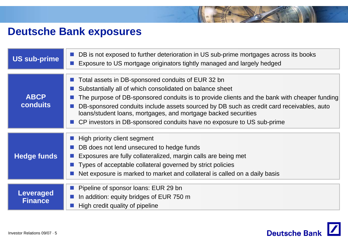## **Deutsche Bank exposures**

| <b>US sub-prime</b>                | DB is not exposed to further deterioration in US sub-prime mortgages across its books<br>Exposure to US mortgage originators tightly managed and largely hedged                                                                                                                                                                                                                                                                                        |  |
|------------------------------------|--------------------------------------------------------------------------------------------------------------------------------------------------------------------------------------------------------------------------------------------------------------------------------------------------------------------------------------------------------------------------------------------------------------------------------------------------------|--|
| <b>ABCP</b><br><b>conduits</b>     | Total assets in DB-sponsored conduits of EUR 32 bn<br>Substantially all of which consolidated on balance sheet<br>The purpose of DB-sponsored conduits is to provide clients and the bank with cheaper funding<br>DB-sponsored conduits include assets sourced by DB such as credit card receivables, auto<br>loans/student loans, mortgages, and mortgage backed securities<br>CP investors in DB-sponsored conduits have no exposure to US sub-prime |  |
| <b>Hedge funds</b>                 | High priority client segment<br>DB does not lend unsecured to hedge funds<br>Exposures are fully collateralized, margin calls are being met<br>Types of acceptable collateral governed by strict policies<br>Net exposure is marked to market and collateral is called on a daily basis                                                                                                                                                                |  |
| <b>Leveraged</b><br><b>Finance</b> | Pipeline of sponsor loans: EUR 29 bn<br>In addition: equity bridges of EUR 750 m<br>High credit quality of pipeline                                                                                                                                                                                                                                                                                                                                    |  |

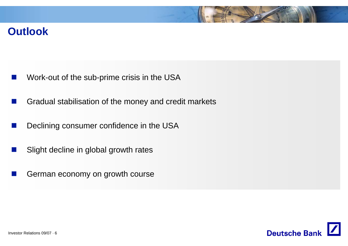## **Outlook**

- $\mathbb{R}^3$ Work-out of the sub-prime crisis in the USA
- Gradual stabilisation of the money and credit markets
- $\mathcal{L}^{\text{max}}_{\text{max}}$ Declining consumer confidence in the USA
- $\frac{1}{2}$ Slight decline in global growth rates
- $\frac{1}{2}$ German economy on growth course

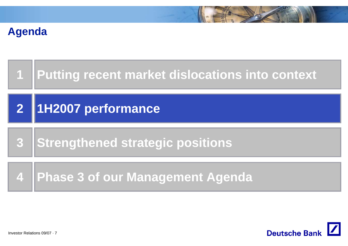## **Agenda**



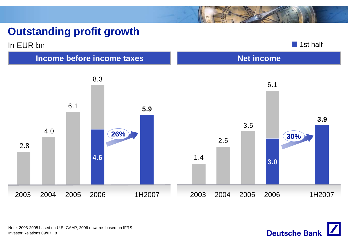## **Outstanding profit growth**



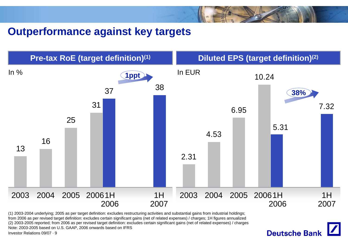## **Outperformance against key targets**



Investor Relations 09/07 · 9(1) 2003-2004 underlying; 2005 as per target definition: excludes restructuring activities and substantial gains from industrial holdings; from 2006 as per revised target definition: excludes certain significant gains (net of related expenses) / charges; 1H figures annualized (2) 2003-2005 reported; from 2006 as per revised target definition: excludes certain significant gains (net of related expenses) / charges Note: 2003-2005 based on U.S. GAAP, 2006 onwards based on IFRS

**Deutsche Bank**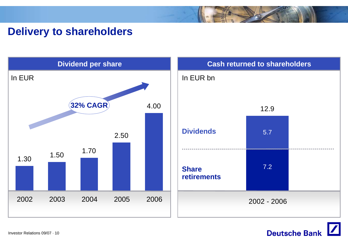## **Delivery to shareholders**



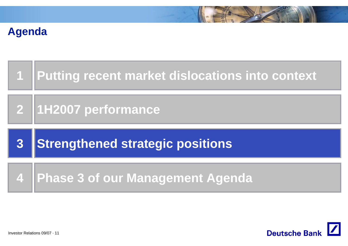# **Agenda**

|   | 1   Putting recent market dislocations into context |
|---|-----------------------------------------------------|
|   | 2 1H2007 performance                                |
|   |                                                     |
| 3 | <b>Strengthened strategic positions</b>             |

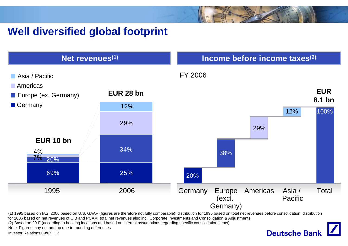## **Well diversified global footprint**



**Deutsche Bank** 

(1) 1995 based on IAS, 2006 based on U.S. GAAP (figures are therefore not fully comparable); distribution for 1995 based on total net revenues before consolidation, distribution

for 2006 based on net revenues of CIB and PCAM; total net revenues also incl. Corporate Investments and Consolidation & Adjustments

(2) Based on 20-F (according to booking locations and based on internal assumptions regarding specific consolidation items)

Note: Figures may not add up due to rounding differences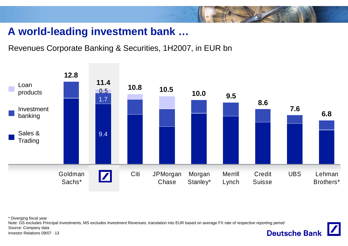## **A world-leading investment bank …**

Revenues Corporate Banking & Securities, 1H2007, in EUR bn



**Deutsche Bank** 

\* Diverging fiscal year

Note: GS excludes Principal Investments, MS excludes Investment Revenues; translation into EUR based on average FX rate of respective reporting period

Source: Company data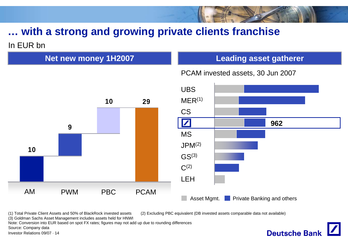## In EUR bn**… with a strong and growing private clients franchise**

**Net new money 1H2007**

#### **Leading asset gatherer**

PCAM invested assets, 30 Jun 2007



(1) Total Private Client Assets and 50% of BlackRock invested assets (2) Excluding PBC equivalent (DB invested assets comparable data not available)

(3) Goldman Sachs Asset Management includes assets held for HNWI

Note: Conversion into EUR based on spot FX rates; figures may not add up due to rounding differences

Source: Company data

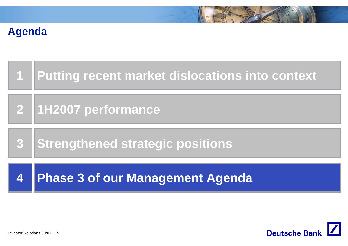# **Agenda**

| $\boldsymbol{4}$ | <b>Phase 3 of our Management Agenda</b>             |
|------------------|-----------------------------------------------------|
|                  | 3 Strengthened strategic positions                  |
|                  | 2 1H2007 performance                                |
|                  | 1   Putting recent market dislocations into context |

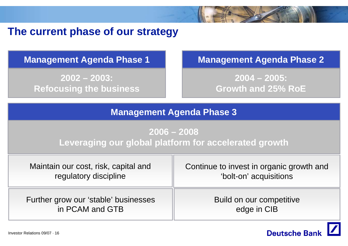## **The current phase of our strategy**

**2002 – 2003: Refocusing the business**

### **Management Agenda Phase 1 Management Agenda Phase 2**

**2004 – 2005: Growth and 25% RoE**

#### **Management Agenda Phase 3**

## **2006 – 2008**

**Leveraging our global platform for accelerated growth**

| Maintain our cost, risk, capital and | Continue to invest in organic growth and |
|--------------------------------------|------------------------------------------|
| regulatory discipline                | 'bolt-on' acquisitions                   |
| Further grow our 'stable' businesses | Build on our competitive                 |
| in PCAM and GTB                      | edge in CIB                              |

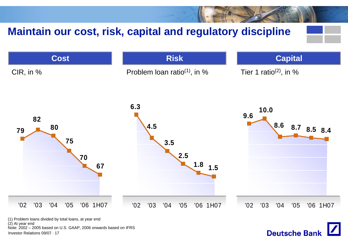# **Maintain our cost, risk, capital and regulatory discipline**



**Deutsche Bank** 

Investor Relations 09/07 · 17Note: 2002 – 2005 based on U.S. GAAP, 2006 onwards based on IFRS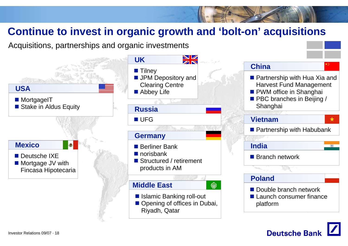## **Continue to invest in organic growth and 'bolt-on' acquisitions**

Acquisitions, partnerships and organic investments



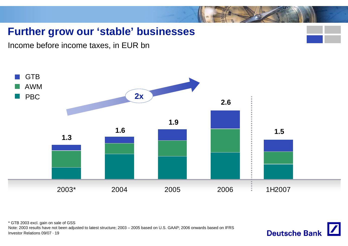## **Further grow our 'stable' businesses**

Income before income taxes, in EUR bn



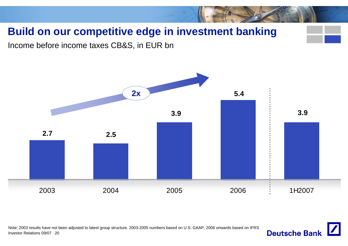# **Build on our competitive edge in investment banking**

Income before income taxes CB&S, in EUR bn



Investor Relations 09/07 · 20Note: 2003 results have not been adjusted to latest group structure. 2003-2005 numbers based on U.S. GAAP, 2006 onwards based on IFRS

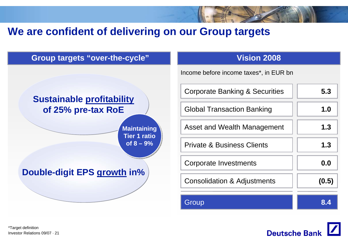## **We are confident of delivering on our Group targets**





Investor Relations 09/07 · 21\*Target definition